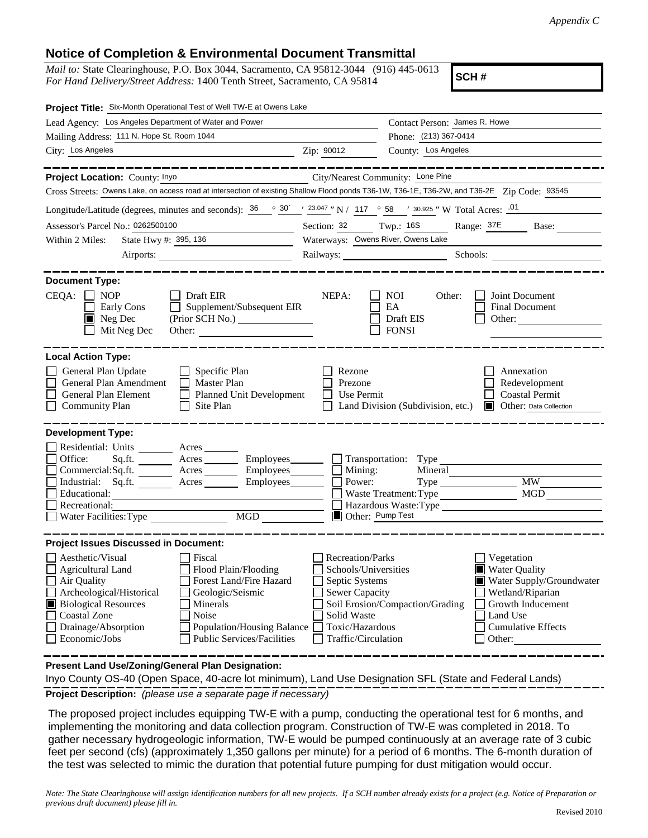## **Notice of Completion & Environmental Document Transmittal**

*Mail to:* State Clearinghouse, P.O. Box 3044, Sacramento, CA 95812-3044 (916) 445-0613 *For Hand Delivery/Street Address:* 1400 Tenth Street, Sacramento, CA 95814

**SCH #**

| Project Title: Six-Month Operational Test of Well TW-E at Owens Lake                                                                                                                                                                                                                                                                                           |                                                                                                                                                                                                                                                                                                                                                      |  |  |  |  |  |
|----------------------------------------------------------------------------------------------------------------------------------------------------------------------------------------------------------------------------------------------------------------------------------------------------------------------------------------------------------------|------------------------------------------------------------------------------------------------------------------------------------------------------------------------------------------------------------------------------------------------------------------------------------------------------------------------------------------------------|--|--|--|--|--|
| Lead Agency: Los Angeles Department of Water and Power                                                                                                                                                                                                                                                                                                         | Contact Person: James R. Howe                                                                                                                                                                                                                                                                                                                        |  |  |  |  |  |
| Mailing Address: 111 N. Hope St. Room 1044                                                                                                                                                                                                                                                                                                                     | Phone: (213) 367-0414                                                                                                                                                                                                                                                                                                                                |  |  |  |  |  |
| City: Los Angeles                                                                                                                                                                                                                                                                                                                                              | County: Los Angeles<br>Zip: 90012                                                                                                                                                                                                                                                                                                                    |  |  |  |  |  |
| Project Location: County: Inyo                                                                                                                                                                                                                                                                                                                                 | City/Nearest Community: Lone Pine                                                                                                                                                                                                                                                                                                                    |  |  |  |  |  |
| Cross Streets: Owens Lake, on access road at intersection of existing Shallow Flood ponds T36-1W, T36-1E, T36-2W, and T36-2E Zip Code: 93545                                                                                                                                                                                                                   |                                                                                                                                                                                                                                                                                                                                                      |  |  |  |  |  |
| Longitude/Latitude (degrees, minutes and seconds): $\frac{36}{9}$ $\frac{30}{1}$ $\frac{123.047}{1}$ N / 117 $\degree$ 58 $\degree$ 30.925 " W Total Acres: $\frac{01}{1}$                                                                                                                                                                                     |                                                                                                                                                                                                                                                                                                                                                      |  |  |  |  |  |
| Assessor's Parcel No.: 0262500100                                                                                                                                                                                                                                                                                                                              | Section: 32 Twp.: 16S Range: 37E Base:                                                                                                                                                                                                                                                                                                               |  |  |  |  |  |
| State Hwy #: 395, 136<br>Within 2 Miles:<br><u> 1999 - Johann Barn, mars and de la partie de la partie de la partie de la partie de la partie de la partie d</u>                                                                                                                                                                                               | Waterways: Owens River, Owens Lake                                                                                                                                                                                                                                                                                                                   |  |  |  |  |  |
|                                                                                                                                                                                                                                                                                                                                                                | Railways: Schools: Schools: Schools: 2001                                                                                                                                                                                                                                                                                                            |  |  |  |  |  |
| <b>Document Type:</b>                                                                                                                                                                                                                                                                                                                                          |                                                                                                                                                                                                                                                                                                                                                      |  |  |  |  |  |
| $CEQA: \Box NP$<br>$\Box$ Draft EIR<br>$\Box$ Supplement/Subsequent EIR<br>Early Cons<br>$\blacksquare$ Neg Dec<br>Mit Neg Dec<br>Other:                                                                                                                                                                                                                       | NEPA:<br><b>NOI</b><br>Other:<br>Joint Document<br>EA<br>Final Document<br>Draft EIS<br>Other:<br><b>FONSI</b>                                                                                                                                                                                                                                       |  |  |  |  |  |
| <b>Local Action Type:</b>                                                                                                                                                                                                                                                                                                                                      |                                                                                                                                                                                                                                                                                                                                                      |  |  |  |  |  |
| General Plan Update<br>$\Box$ Specific Plan<br>General Plan Amendment<br>Master Plan<br>General Plan Element<br>Planned Unit Development<br><b>Community Plan</b><br>Site Plan                                                                                                                                                                                 | Rezone<br>Annexation<br>Prezone<br>Redevelopment<br><b>Coastal Permit</b><br>Use Permit<br><b>Other:</b> Data Collection<br>Land Division (Subdivision, etc.)                                                                                                                                                                                        |  |  |  |  |  |
| <b>Development Type:</b><br>Residential: Units ________ Acres _______<br>Office:<br>Sq.fit.<br>$Commercial:Sq.fit.$ $Acres$ $Imployees$ $\Box$ Mining:<br>Industrial: Sq.ft. _______ Acres _______ Employees_______  <br>Educational:<br>Recreational:<br>MGD<br>Water Facilities: Type                                                                        | Acres _________ Employees ________ __ Transportation: Type<br>Mineral<br>Power:<br>MW<br>Type<br>MGD<br>Waste Treatment: Type<br>Hazardous Waste:Type<br>Other: Pump Test                                                                                                                                                                            |  |  |  |  |  |
| <b>Project Issues Discussed in Document:</b>                                                                                                                                                                                                                                                                                                                   |                                                                                                                                                                                                                                                                                                                                                      |  |  |  |  |  |
| Aesthetic/Visual<br>Fiscal<br>Flood Plain/Flooding<br><b>Agricultural Land</b><br>Air Quality<br>Forest Land/Fire Hazard<br>Archeological/Historical<br>Geologic/Seismic<br><b>Biological Resources</b><br>Minerals<br><b>Coastal Zone</b><br>Noise<br>Drainage/Absorption<br>Population/Housing Balance<br>Economic/Jobs<br><b>Public Services/Facilities</b> | <b>Recreation/Parks</b><br>Vegetation<br><b>Water Quality</b><br>Schools/Universities<br>Septic Systems<br>Water Supply/Groundwater<br><b>Sewer Capacity</b><br>Wetland/Riparian<br>Soil Erosion/Compaction/Grading<br>Growth Inducement<br>Solid Waste<br>Land Use<br>Toxic/Hazardous<br><b>Cumulative Effects</b><br>Traffic/Circulation<br>Other: |  |  |  |  |  |

**Present Land Use/Zoning/General Plan Designation:**

**Project Description:** *(please use a separate page if necessary)* Inyo County OS-40 (Open Space, 40-acre lot minimum), Land Use Designation SFL (State and Federal Lands)

 The proposed project includes equipping TW-E with a pump, conducting the operational test for 6 months, and implementing the monitoring and data collection program. Construction of TW-E was completed in 2018. To gather necessary hydrogeologic information, TW-E would be pumped continuously at an average rate of 3 cubic feet per second (cfs) (approximately 1,350 gallons per minute) for a period of 6 months. The 6-month duration of the test was selected to mimic the duration that potential future pumping for dust mitigation would occur.

*Note: The State Clearinghouse will assign identification numbers for all new projects. If a SCH number already exists for a project (e.g. Notice of Preparation or previous draft document) please fill in.*